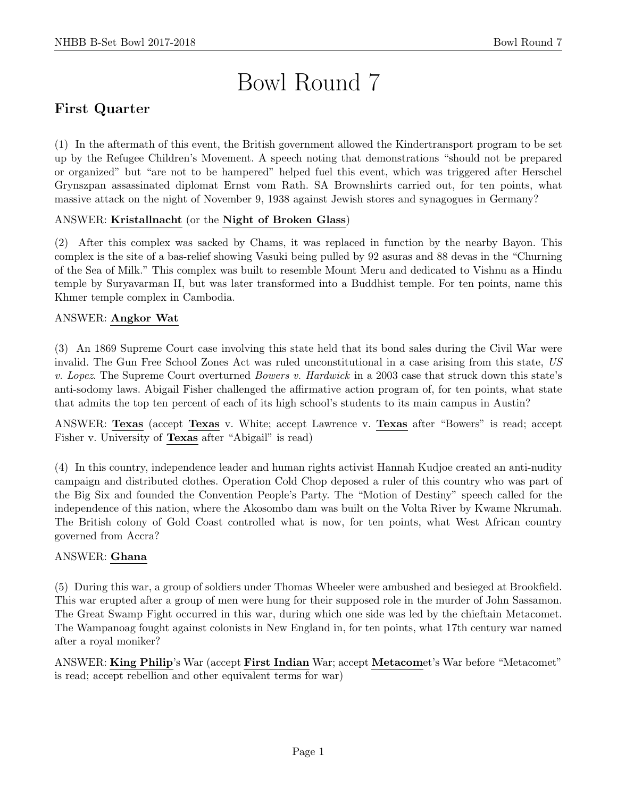# Bowl Round 7

# First Quarter

(1) In the aftermath of this event, the British government allowed the Kindertransport program to be set up by the Refugee Children's Movement. A speech noting that demonstrations "should not be prepared or organized" but "are not to be hampered" helped fuel this event, which was triggered after Herschel Grynszpan assassinated diplomat Ernst vom Rath. SA Brownshirts carried out, for ten points, what massive attack on the night of November 9, 1938 against Jewish stores and synagogues in Germany?

#### ANSWER: Kristallnacht (or the Night of Broken Glass)

(2) After this complex was sacked by Chams, it was replaced in function by the nearby Bayon. This complex is the site of a bas-relief showing Vasuki being pulled by 92 asuras and 88 devas in the "Churning of the Sea of Milk." This complex was built to resemble Mount Meru and dedicated to Vishnu as a Hindu temple by Suryavarman II, but was later transformed into a Buddhist temple. For ten points, name this Khmer temple complex in Cambodia.

#### ANSWER: Angkor Wat

(3) An 1869 Supreme Court case involving this state held that its bond sales during the Civil War were invalid. The Gun Free School Zones Act was ruled unconstitutional in a case arising from this state, US v. Lopez. The Supreme Court overturned Bowers v. Hardwick in a 2003 case that struck down this state's anti-sodomy laws. Abigail Fisher challenged the affirmative action program of, for ten points, what state that admits the top ten percent of each of its high school's students to its main campus in Austin?

ANSWER: Texas (accept Texas v. White; accept Lawrence v. Texas after "Bowers" is read; accept Fisher v. University of Texas after "Abigail" is read)

(4) In this country, independence leader and human rights activist Hannah Kudjoe created an anti-nudity campaign and distributed clothes. Operation Cold Chop deposed a ruler of this country who was part of the Big Six and founded the Convention People's Party. The "Motion of Destiny" speech called for the independence of this nation, where the Akosombo dam was built on the Volta River by Kwame Nkrumah. The British colony of Gold Coast controlled what is now, for ten points, what West African country governed from Accra?

#### ANSWER: Ghana

(5) During this war, a group of soldiers under Thomas Wheeler were ambushed and besieged at Brookfield. This war erupted after a group of men were hung for their supposed role in the murder of John Sassamon. The Great Swamp Fight occurred in this war, during which one side was led by the chieftain Metacomet. The Wampanoag fought against colonists in New England in, for ten points, what 17th century war named after a royal moniker?

ANSWER: King Philip's War (accept First Indian War; accept Metacomet's War before "Metacomet" is read; accept rebellion and other equivalent terms for war)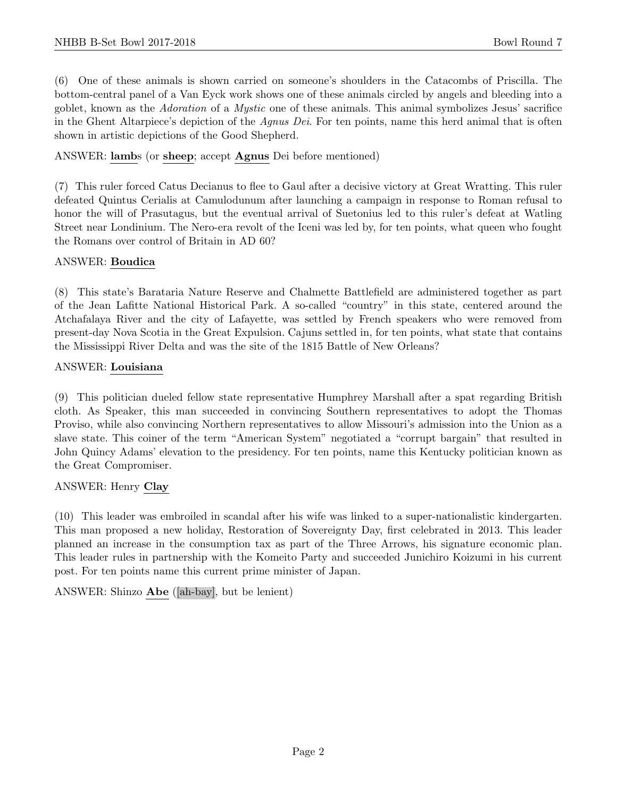(6) One of these animals is shown carried on someone's shoulders in the Catacombs of Priscilla. The bottom-central panel of a Van Eyck work shows one of these animals circled by angels and bleeding into a goblet, known as the Adoration of a Mystic one of these animals. This animal symbolizes Jesus' sacrifice in the Ghent Altarpiece's depiction of the Agnus Dei. For ten points, name this herd animal that is often shown in artistic depictions of the Good Shepherd.

#### ANSWER: lambs (or sheep; accept Agnus Dei before mentioned)

(7) This ruler forced Catus Decianus to flee to Gaul after a decisive victory at Great Wratting. This ruler defeated Quintus Cerialis at Camulodunum after launching a campaign in response to Roman refusal to honor the will of Prasutagus, but the eventual arrival of Suetonius led to this ruler's defeat at Watling Street near Londinium. The Nero-era revolt of the Iceni was led by, for ten points, what queen who fought the Romans over control of Britain in AD 60?

#### ANSWER: Boudica

(8) This state's Barataria Nature Reserve and Chalmette Battlefield are administered together as part of the Jean Lafitte National Historical Park. A so-called "country" in this state, centered around the Atchafalaya River and the city of Lafayette, was settled by French speakers who were removed from present-day Nova Scotia in the Great Expulsion. Cajuns settled in, for ten points, what state that contains the Mississippi River Delta and was the site of the 1815 Battle of New Orleans?

#### ANSWER: Louisiana

(9) This politician dueled fellow state representative Humphrey Marshall after a spat regarding British cloth. As Speaker, this man succeeded in convincing Southern representatives to adopt the Thomas Proviso, while also convincing Northern representatives to allow Missouri's admission into the Union as a slave state. This coiner of the term "American System" negotiated a "corrupt bargain" that resulted in John Quincy Adams' elevation to the presidency. For ten points, name this Kentucky politician known as the Great Compromiser.

#### ANSWER: Henry Clay

(10) This leader was embroiled in scandal after his wife was linked to a super-nationalistic kindergarten. This man proposed a new holiday, Restoration of Sovereignty Day, first celebrated in 2013. This leader planned an increase in the consumption tax as part of the Three Arrows, his signature economic plan. This leader rules in partnership with the Komeito Party and succeeded Junichiro Koizumi in his current post. For ten points name this current prime minister of Japan.

ANSWER: Shinzo Abe ([ah-bay], but be lenient)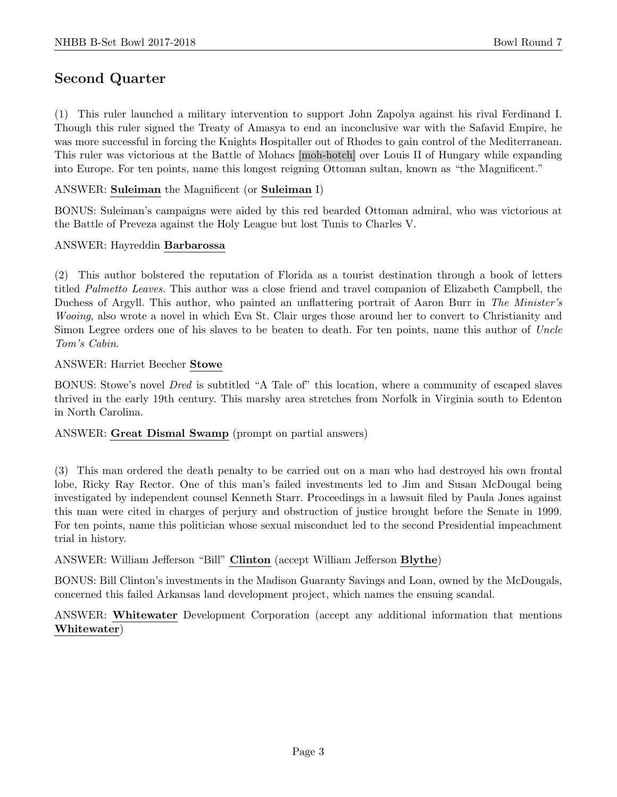## Second Quarter

(1) This ruler launched a military intervention to support John Zapolya against his rival Ferdinand I. Though this ruler signed the Treaty of Amasya to end an inconclusive war with the Safavid Empire, he was more successful in forcing the Knights Hospitaller out of Rhodes to gain control of the Mediterranean. This ruler was victorious at the Battle of Mohacs [moh-hotch] over Louis II of Hungary while expanding into Europe. For ten points, name this longest reigning Ottoman sultan, known as "the Magnificent."

#### ANSWER: Suleiman the Magnificent (or Suleiman I)

BONUS: Suleiman's campaigns were aided by this red bearded Ottoman admiral, who was victorious at the Battle of Preveza against the Holy League but lost Tunis to Charles V.

#### ANSWER: Hayreddin Barbarossa

(2) This author bolstered the reputation of Florida as a tourist destination through a book of letters titled Palmetto Leaves. This author was a close friend and travel companion of Elizabeth Campbell, the Duchess of Argyll. This author, who painted an unflattering portrait of Aaron Burr in The Minister's Wooing, also wrote a novel in which Eva St. Clair urges those around her to convert to Christianity and Simon Legree orders one of his slaves to be beaten to death. For ten points, name this author of Uncle Tom's Cabin.

#### ANSWER: Harriet Beecher Stowe

BONUS: Stowe's novel Dred is subtitled "A Tale of" this location, where a community of escaped slaves thrived in the early 19th century. This marshy area stretches from Norfolk in Virginia south to Edenton in North Carolina.

#### ANSWER: Great Dismal Swamp (prompt on partial answers)

(3) This man ordered the death penalty to be carried out on a man who had destroyed his own frontal lobe, Ricky Ray Rector. One of this man's failed investments led to Jim and Susan McDougal being investigated by independent counsel Kenneth Starr. Proceedings in a lawsuit filed by Paula Jones against this man were cited in charges of perjury and obstruction of justice brought before the Senate in 1999. For ten points, name this politician whose sexual misconduct led to the second Presidential impeachment trial in history.

#### ANSWER: William Jefferson "Bill" Clinton (accept William Jefferson Blythe)

BONUS: Bill Clinton's investments in the Madison Guaranty Savings and Loan, owned by the McDougals, concerned this failed Arkansas land development project, which names the ensuing scandal.

ANSWER: Whitewater Development Corporation (accept any additional information that mentions Whitewater)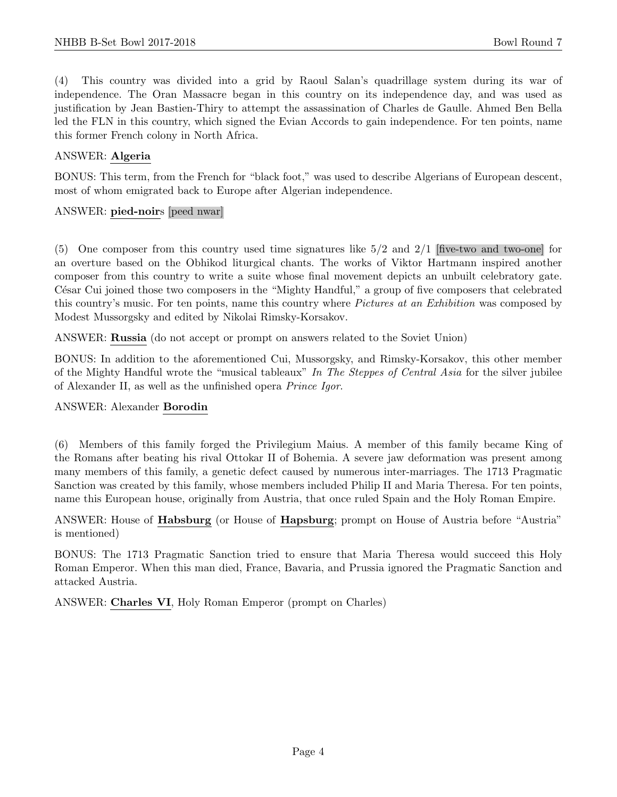(4) This country was divided into a grid by Raoul Salan's quadrillage system during its war of independence. The Oran Massacre began in this country on its independence day, and was used as justification by Jean Bastien-Thiry to attempt the assassination of Charles de Gaulle. Ahmed Ben Bella led the FLN in this country, which signed the Evian Accords to gain independence. For ten points, name this former French colony in North Africa.

#### ANSWER: Algeria

BONUS: This term, from the French for "black foot," was used to describe Algerians of European descent, most of whom emigrated back to Europe after Algerian independence.

#### ANSWER: pied-noirs [peed nwar]

(5) One composer from this country used time signatures like 5/2 and 2/1 [five-two and two-one] for an overture based on the Obhikod liturgical chants. The works of Viktor Hartmann inspired another composer from this country to write a suite whose final movement depicts an unbuilt celebratory gate. César Cui joined those two composers in the "Mighty Handful," a group of five composers that celebrated this country's music. For ten points, name this country where *Pictures at an Exhibition* was composed by Modest Mussorgsky and edited by Nikolai Rimsky-Korsakov.

ANSWER: Russia (do not accept or prompt on answers related to the Soviet Union)

BONUS: In addition to the aforementioned Cui, Mussorgsky, and Rimsky-Korsakov, this other member of the Mighty Handful wrote the "musical tableaux" In The Steppes of Central Asia for the silver jubilee of Alexander II, as well as the unfinished opera Prince Igor.

#### ANSWER: Alexander Borodin

(6) Members of this family forged the Privilegium Maius. A member of this family became King of the Romans after beating his rival Ottokar II of Bohemia. A severe jaw deformation was present among many members of this family, a genetic defect caused by numerous inter-marriages. The 1713 Pragmatic Sanction was created by this family, whose members included Philip II and Maria Theresa. For ten points, name this European house, originally from Austria, that once ruled Spain and the Holy Roman Empire.

ANSWER: House of Habsburg (or House of Hapsburg; prompt on House of Austria before "Austria" is mentioned)

BONUS: The 1713 Pragmatic Sanction tried to ensure that Maria Theresa would succeed this Holy Roman Emperor. When this man died, France, Bavaria, and Prussia ignored the Pragmatic Sanction and attacked Austria.

ANSWER: Charles VI, Holy Roman Emperor (prompt on Charles)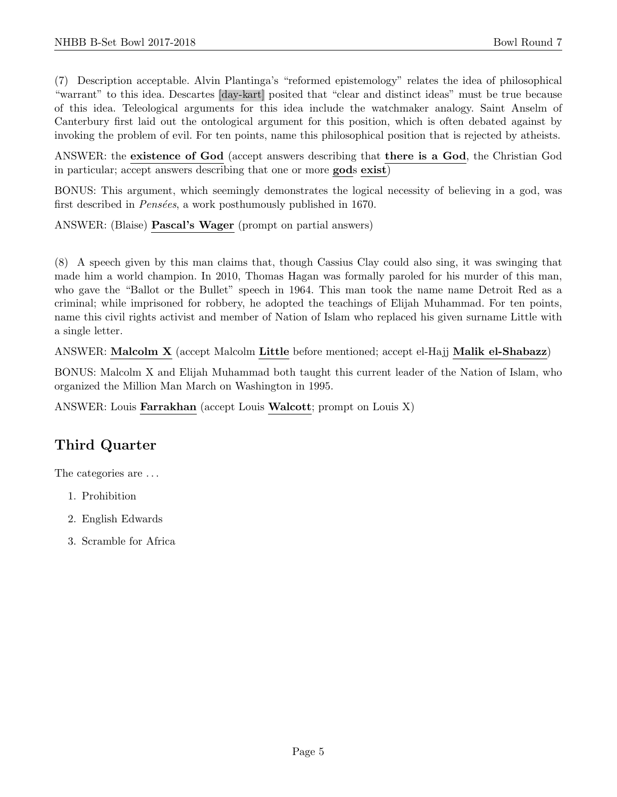(7) Description acceptable. Alvin Plantinga's "reformed epistemology" relates the idea of philosophical "warrant" to this idea. Descartes [day-kart] posited that "clear and distinct ideas" must be true because of this idea. Teleological arguments for this idea include the watchmaker analogy. Saint Anselm of Canterbury first laid out the ontological argument for this position, which is often debated against by invoking the problem of evil. For ten points, name this philosophical position that is rejected by atheists.

ANSWER: the existence of God (accept answers describing that there is a God, the Christian God in particular; accept answers describing that one or more gods exist)

BONUS: This argument, which seemingly demonstrates the logical necessity of believing in a god, was first described in  $Pensées$ , a work posthumously published in 1670.

ANSWER: (Blaise) Pascal's Wager (prompt on partial answers)

(8) A speech given by this man claims that, though Cassius Clay could also sing, it was swinging that made him a world champion. In 2010, Thomas Hagan was formally paroled for his murder of this man, who gave the "Ballot or the Bullet" speech in 1964. This man took the name name Detroit Red as a criminal; while imprisoned for robbery, he adopted the teachings of Elijah Muhammad. For ten points, name this civil rights activist and member of Nation of Islam who replaced his given surname Little with a single letter.

ANSWER: Malcolm X (accept Malcolm Little before mentioned; accept el-Hajj Malik el-Shabazz)

BONUS: Malcolm X and Elijah Muhammad both taught this current leader of the Nation of Islam, who organized the Million Man March on Washington in 1995.

ANSWER: Louis Farrakhan (accept Louis Walcott; prompt on Louis X)

# Third Quarter

The categories are  $\dots$ 

- 1. Prohibition
- 2. English Edwards
- 3. Scramble for Africa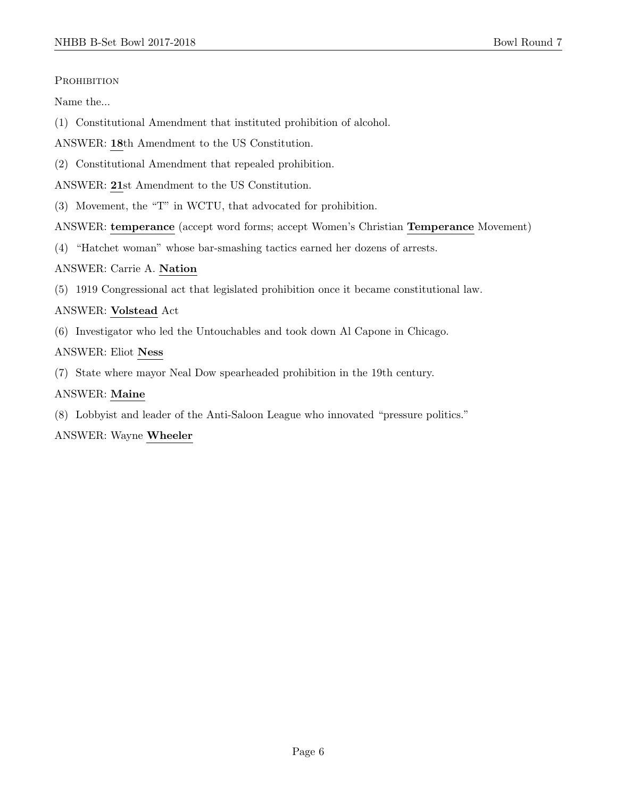#### PROHIBITION

Name the...

- (1) Constitutional Amendment that instituted prohibition of alcohol.
- ANSWER: 18th Amendment to the US Constitution.
- (2) Constitutional Amendment that repealed prohibition.
- ANSWER: 21st Amendment to the US Constitution.
- (3) Movement, the "T" in WCTU, that advocated for prohibition.
- ANSWER: temperance (accept word forms; accept Women's Christian Temperance Movement)
- (4) "Hatchet woman" whose bar-smashing tactics earned her dozens of arrests.
- ANSWER: Carrie A. Nation
- (5) 1919 Congressional act that legislated prohibition once it became constitutional law.

#### ANSWER: Volstead Act

(6) Investigator who led the Untouchables and took down Al Capone in Chicago.

#### ANSWER: Eliot Ness

(7) State where mayor Neal Dow spearheaded prohibition in the 19th century.

#### ANSWER: Maine

(8) Lobbyist and leader of the Anti-Saloon League who innovated "pressure politics."

#### ANSWER: Wayne Wheeler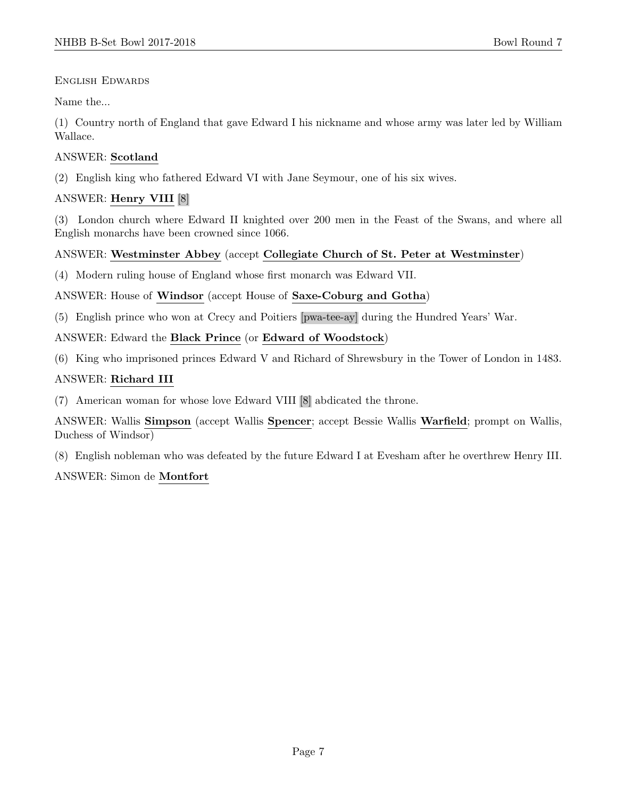English Edwards

Name the...

(1) Country north of England that gave Edward I his nickname and whose army was later led by William Wallace.

#### ANSWER: Scotland

(2) English king who fathered Edward VI with Jane Seymour, one of his six wives.

#### ANSWER: Henry VIII [8]

(3) London church where Edward II knighted over 200 men in the Feast of the Swans, and where all English monarchs have been crowned since 1066.

#### ANSWER: Westminster Abbey (accept Collegiate Church of St. Peter at Westminster)

(4) Modern ruling house of England whose first monarch was Edward VII.

ANSWER: House of Windsor (accept House of Saxe-Coburg and Gotha)

(5) English prince who won at Crecy and Poitiers [pwa-tee-ay] during the Hundred Years' War.

ANSWER: Edward the Black Prince (or Edward of Woodstock)

(6) King who imprisoned princes Edward V and Richard of Shrewsbury in the Tower of London in 1483.

#### ANSWER: Richard III

(7) American woman for whose love Edward VIII [8] abdicated the throne.

ANSWER: Wallis Simpson (accept Wallis Spencer; accept Bessie Wallis Warfield; prompt on Wallis, Duchess of Windsor)

(8) English nobleman who was defeated by the future Edward I at Evesham after he overthrew Henry III.

#### ANSWER: Simon de Montfort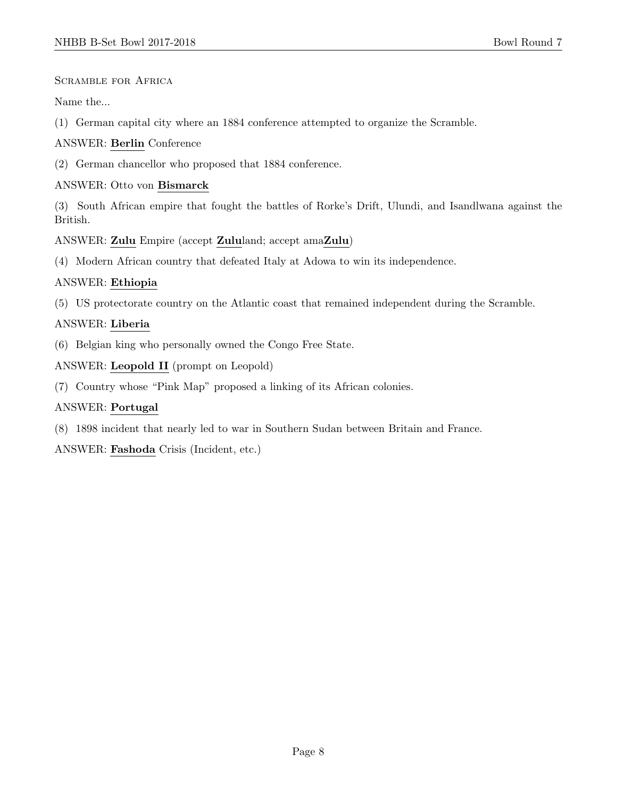Scramble for Africa

Name the...

(1) German capital city where an 1884 conference attempted to organize the Scramble.

ANSWER: Berlin Conference

(2) German chancellor who proposed that 1884 conference.

#### ANSWER: Otto von Bismarck

(3) South African empire that fought the battles of Rorke's Drift, Ulundi, and Isandlwana against the British.

ANSWER: Zulu Empire (accept Zululand; accept amaZulu)

(4) Modern African country that defeated Italy at Adowa to win its independence.

#### ANSWER: Ethiopia

(5) US protectorate country on the Atlantic coast that remained independent during the Scramble.

#### ANSWER: Liberia

(6) Belgian king who personally owned the Congo Free State.

ANSWER: Leopold II (prompt on Leopold)

(7) Country whose "Pink Map" proposed a linking of its African colonies.

#### ANSWER: Portugal

(8) 1898 incident that nearly led to war in Southern Sudan between Britain and France.

ANSWER: Fashoda Crisis (Incident, etc.)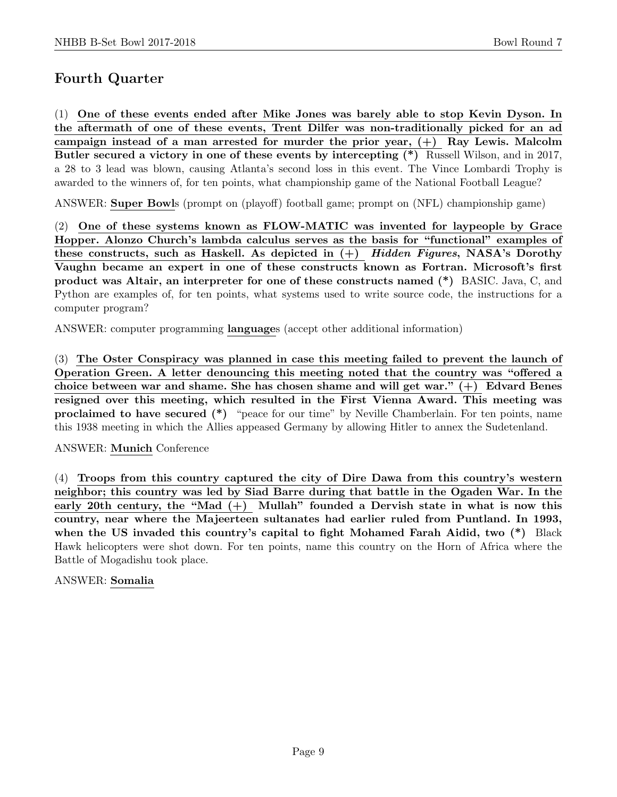## Fourth Quarter

(1) One of these events ended after Mike Jones was barely able to stop Kevin Dyson. In the aftermath of one of these events, Trent Dilfer was non-traditionally picked for an ad campaign instead of a man arrested for murder the prior year,  $(+)$  Ray Lewis. Malcolm Butler secured a victory in one of these events by intercepting (\*) Russell Wilson, and in 2017, a 28 to 3 lead was blown, causing Atlanta's second loss in this event. The Vince Lombardi Trophy is awarded to the winners of, for ten points, what championship game of the National Football League?

ANSWER: Super Bowls (prompt on (playoff) football game; prompt on (NFL) championship game)

(2) One of these systems known as FLOW-MATIC was invented for laypeople by Grace Hopper. Alonzo Church's lambda calculus serves as the basis for "functional" examples of these constructs, such as Haskell. As depicted in  $(+)$  Hidden Figures, NASA's Dorothy Vaughn became an expert in one of these constructs known as Fortran. Microsoft's first product was Altair, an interpreter for one of these constructs named (\*) BASIC. Java, C, and Python are examples of, for ten points, what systems used to write source code, the instructions for a computer program?

ANSWER: computer programming languages (accept other additional information)

(3) The Oster Conspiracy was planned in case this meeting failed to prevent the launch of Operation Green. A letter denouncing this meeting noted that the country was "offered a choice between war and shame. She has chosen shame and will get war." (+) Edvard Benes resigned over this meeting, which resulted in the First Vienna Award. This meeting was proclaimed to have secured (\*) "peace for our time" by Neville Chamberlain. For ten points, name this 1938 meeting in which the Allies appeased Germany by allowing Hitler to annex the Sudetenland.

ANSWER: Munich Conference

(4) Troops from this country captured the city of Dire Dawa from this country's western neighbor; this country was led by Siad Barre during that battle in the Ogaden War. In the early 20th century, the "Mad  $(+)$  Mullah" founded a Dervish state in what is now this country, near where the Majeerteen sultanates had earlier ruled from Puntland. In 1993, when the US invaded this country's capital to fight Mohamed Farah Aidid, two  $(*)$  Black Hawk helicopters were shot down. For ten points, name this country on the Horn of Africa where the Battle of Mogadishu took place.

#### ANSWER: Somalia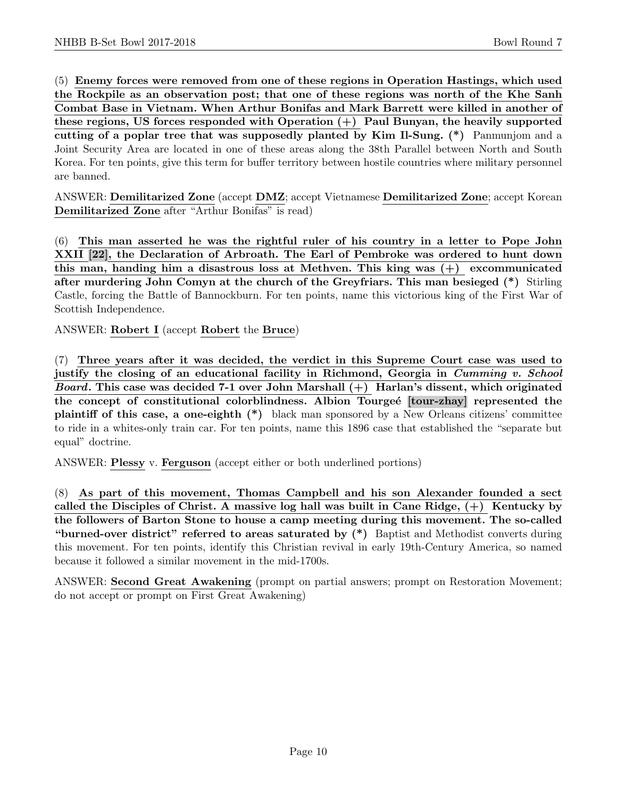(5) Enemy forces were removed from one of these regions in Operation Hastings, which used the Rockpile as an observation post; that one of these regions was north of the Khe Sanh Combat Base in Vietnam. When Arthur Bonifas and Mark Barrett were killed in another of these regions, US forces responded with Operation (+) Paul Bunyan, the heavily supported cutting of a poplar tree that was supposedly planted by Kim Il-Sung. (\*) Panmunjom and a Joint Security Area are located in one of these areas along the 38th Parallel between North and South Korea. For ten points, give this term for buffer territory between hostile countries where military personnel are banned.

ANSWER: Demilitarized Zone (accept DMZ; accept Vietnamese Demilitarized Zone; accept Korean Demilitarized Zone after "Arthur Bonifas" is read)

(6) This man asserted he was the rightful ruler of his country in a letter to Pope John XXII [22], the Declaration of Arbroath. The Earl of Pembroke was ordered to hunt down this man, handing him a disastrous loss at Methven. This king was (+) excommunicated after murdering John Comyn at the church of the Greyfriars. This man besieged (\*) Stirling Castle, forcing the Battle of Bannockburn. For ten points, name this victorious king of the First War of Scottish Independence.

ANSWER: Robert I (accept Robert the Bruce)

(7) Three years after it was decided, the verdict in this Supreme Court case was used to justify the closing of an educational facility in Richmond, Georgia in *Cumming v. School Board*. This case was decided 7-1 over John Marshall  $(+)$  Harlan's dissent, which originated the concept of constitutional colorblindness. Albion Tourgeé [tour-zhay] represented the plaintiff of this case, a one-eighth (\*) black man sponsored by a New Orleans citizens' committee to ride in a whites-only train car. For ten points, name this 1896 case that established the "separate but equal" doctrine.

ANSWER: Plessy v. Ferguson (accept either or both underlined portions)

(8) As part of this movement, Thomas Campbell and his son Alexander founded a sect called the Disciples of Christ. A massive log hall was built in Cane Ridge,  $(+)$  Kentucky by the followers of Barton Stone to house a camp meeting during this movement. The so-called "burned-over district" referred to areas saturated by  $(*)$  Baptist and Methodist converts during this movement. For ten points, identify this Christian revival in early 19th-Century America, so named because it followed a similar movement in the mid-1700s.

ANSWER: Second Great Awakening (prompt on partial answers; prompt on Restoration Movement; do not accept or prompt on First Great Awakening)